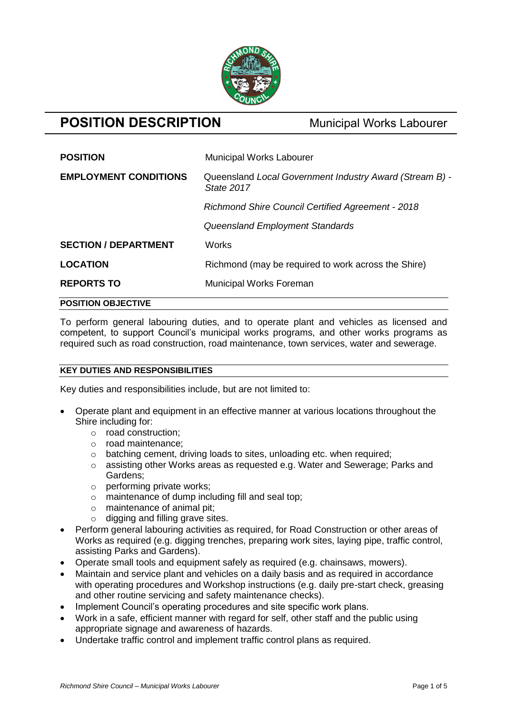

# **POSITION DESCRIPTION** Municipal Works Labourer

| <b>POSITION</b>              | <b>Municipal Works Labourer</b>                                       |
|------------------------------|-----------------------------------------------------------------------|
| <b>EMPLOYMENT CONDITIONS</b> | Queensland Local Government Industry Award (Stream B) -<br>State 2017 |
|                              | <b>Richmond Shire Council Certified Agreement - 2018</b>              |
|                              | Queensland Employment Standards                                       |
| <b>SECTION / DEPARTMENT</b>  | Works                                                                 |
| <b>LOCATION</b>              | Richmond (may be required to work across the Shire)                   |
| <b>REPORTS TO</b>            | <b>Municipal Works Foreman</b>                                        |

# **POSITION OBJECTIVE**

To perform general labouring duties, and to operate plant and vehicles as licensed and competent, to support Council's municipal works programs, and other works programs as required such as road construction, road maintenance, town services, water and sewerage.

# **KEY DUTIES AND RESPONSIBILITIES**

Key duties and responsibilities include, but are not limited to:

- Operate plant and equipment in an effective manner at various locations throughout the Shire including for:
	- o road construction;
	- o road maintenance;
	- o batching cement, driving loads to sites, unloading etc. when required;
	- $\circ$  assisting other Works areas as requested e.g. Water and Sewerage; Parks and Gardens;
	- o performing private works;
	- o maintenance of dump including fill and seal top;
	- o maintenance of animal pit;
	- $\circ$  digging and filling grave sites.
- Perform general labouring activities as required, for Road Construction or other areas of Works as required (e.g. digging trenches, preparing work sites, laying pipe, traffic control, assisting Parks and Gardens).
- Operate small tools and equipment safely as required (e.g. chainsaws, mowers).
- Maintain and service plant and vehicles on a daily basis and as required in accordance with operating procedures and Workshop instructions (e.g. daily pre-start check, greasing and other routine servicing and safety maintenance checks).
- Implement Council's operating procedures and site specific work plans.
- Work in a safe, efficient manner with regard for self, other staff and the public using appropriate signage and awareness of hazards.
- Undertake traffic control and implement traffic control plans as required.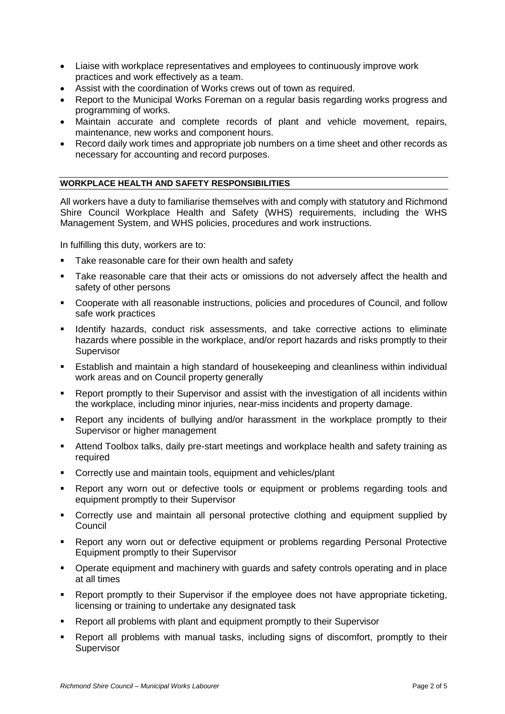- Liaise with workplace representatives and employees to continuously improve work practices and work effectively as a team.
- Assist with the coordination of Works crews out of town as required.
- Report to the Municipal Works Foreman on a regular basis regarding works progress and programming of works.
- Maintain accurate and complete records of plant and vehicle movement, repairs, maintenance, new works and component hours.
- Record daily work times and appropriate job numbers on a time sheet and other records as necessary for accounting and record purposes.

## **WORKPLACE HEALTH AND SAFETY RESPONSIBILITIES**

All workers have a duty to familiarise themselves with and comply with statutory and Richmond Shire Council Workplace Health and Safety (WHS) requirements, including the WHS Management System, and WHS policies, procedures and work instructions.

In fulfilling this duty, workers are to:

- Take reasonable care for their own health and safety
- Take reasonable care that their acts or omissions do not adversely affect the health and safety of other persons
- Cooperate with all reasonable instructions, policies and procedures of Council, and follow safe work practices
- Identify hazards, conduct risk assessments, and take corrective actions to eliminate hazards where possible in the workplace, and/or report hazards and risks promptly to their Supervisor
- Establish and maintain a high standard of housekeeping and cleanliness within individual work areas and on Council property generally
- Report promptly to their Supervisor and assist with the investigation of all incidents within the workplace, including minor injuries, near-miss incidents and property damage.
- Report any incidents of bullying and/or harassment in the workplace promptly to their Supervisor or higher management
- Attend Toolbox talks, daily pre-start meetings and workplace health and safety training as required
- **Correctly use and maintain tools, equipment and vehicles/plant**
- Report any worn out or defective tools or equipment or problems regarding tools and equipment promptly to their Supervisor
- Correctly use and maintain all personal protective clothing and equipment supplied by Council
- Report any worn out or defective equipment or problems regarding Personal Protective Equipment promptly to their Supervisor
- **•** Operate equipment and machinery with guards and safety controls operating and in place at all times
- Report promptly to their Supervisor if the employee does not have appropriate ticketing, licensing or training to undertake any designated task
- **Report all problems with plant and equipment promptly to their Supervisor**
- Report all problems with manual tasks, including signs of discomfort, promptly to their **Supervisor**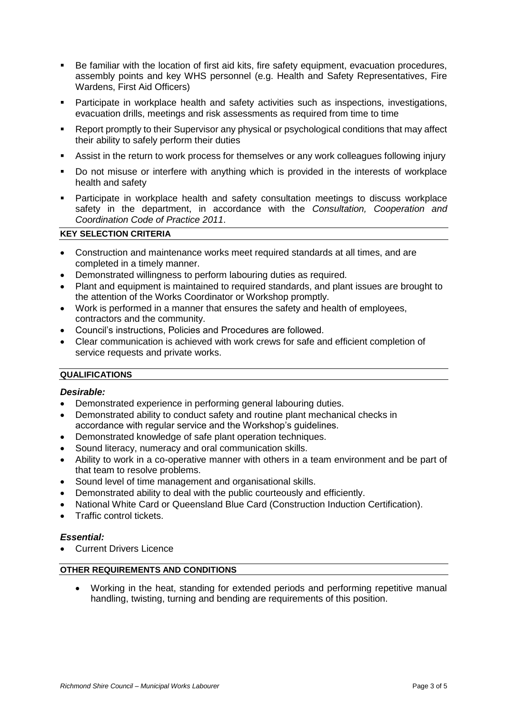- Be familiar with the location of first aid kits, fire safety equipment, evacuation procedures, assembly points and key WHS personnel (e.g. Health and Safety Representatives, Fire Wardens, First Aid Officers)
- Participate in workplace health and safety activities such as inspections, investigations, evacuation drills, meetings and risk assessments as required from time to time
- Report promptly to their Supervisor any physical or psychological conditions that may affect their ability to safely perform their duties
- Assist in the return to work process for themselves or any work colleagues following injury
- Do not misuse or interfere with anything which is provided in the interests of workplace health and safety
- Participate in workplace health and safety consultation meetings to discuss workplace safety in the department, in accordance with the *Consultation, Cooperation and Coordination Code of Practice 2011*.

# **KEY SELECTION CRITERIA**

- Construction and maintenance works meet required standards at all times, and are completed in a timely manner.
- Demonstrated willingness to perform labouring duties as required.
- Plant and equipment is maintained to required standards, and plant issues are brought to the attention of the Works Coordinator or Workshop promptly.
- Work is performed in a manner that ensures the safety and health of employees, contractors and the community.
- Council's instructions, Policies and Procedures are followed.
- Clear communication is achieved with work crews for safe and efficient completion of service requests and private works.

### **QUALIFICATIONS**

#### *Desirable:*

- Demonstrated experience in performing general labouring duties.
- Demonstrated ability to conduct safety and routine plant mechanical checks in accordance with regular service and the Workshop's guidelines.
- Demonstrated knowledge of safe plant operation techniques.
- Sound literacy, numeracy and oral communication skills.
- Ability to work in a co-operative manner with others in a team environment and be part of that team to resolve problems.
- Sound level of time management and organisational skills.
- Demonstrated ability to deal with the public courteously and efficiently.
- National White Card or Queensland Blue Card (Construction Induction Certification).
- Traffic control tickets.

#### *Essential:*

Current Drivers Licence

#### **OTHER REQUIREMENTS AND CONDITIONS**

 Working in the heat, standing for extended periods and performing repetitive manual handling, twisting, turning and bending are requirements of this position.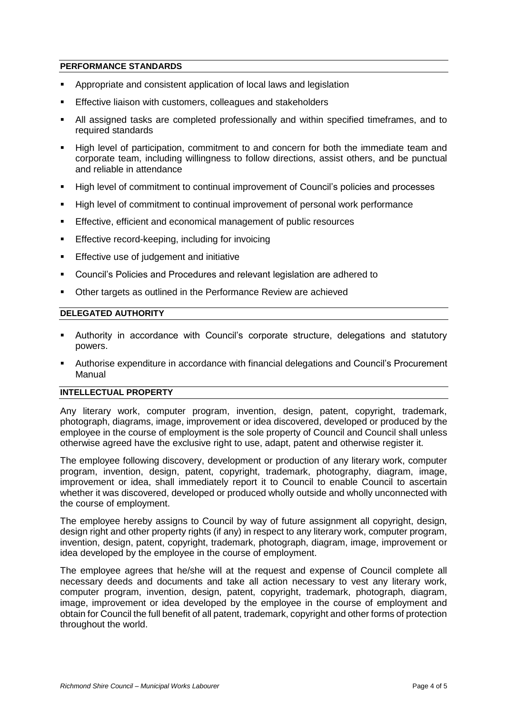### **PERFORMANCE STANDARDS**

- Appropriate and consistent application of local laws and legislation
- Effective liaison with customers, colleagues and stakeholders
- All assigned tasks are completed professionally and within specified timeframes, and to required standards
- High level of participation, commitment to and concern for both the immediate team and corporate team, including willingness to follow directions, assist others, and be punctual and reliable in attendance
- High level of commitment to continual improvement of Council's policies and processes
- High level of commitment to continual improvement of personal work performance
- Effective, efficient and economical management of public resources
- **Effective record-keeping, including for invoicing**
- **Effective use of judgement and initiative**
- Council's Policies and Procedures and relevant legislation are adhered to
- **Other targets as outlined in the Performance Review are achieved**

# **DELEGATED AUTHORITY**

- Authority in accordance with Council's corporate structure, delegations and statutory powers.
- Authorise expenditure in accordance with financial delegations and Council's Procurement Manual

#### **INTELLECTUAL PROPERTY**

Any literary work, computer program, invention, design, patent, copyright, trademark, photograph, diagrams, image, improvement or idea discovered, developed or produced by the employee in the course of employment is the sole property of Council and Council shall unless otherwise agreed have the exclusive right to use, adapt, patent and otherwise register it.

The employee following discovery, development or production of any literary work, computer program, invention, design, patent, copyright, trademark, photography, diagram, image, improvement or idea, shall immediately report it to Council to enable Council to ascertain whether it was discovered, developed or produced wholly outside and wholly unconnected with the course of employment.

The employee hereby assigns to Council by way of future assignment all copyright, design, design right and other property rights (if any) in respect to any literary work, computer program, invention, design, patent, copyright, trademark, photograph, diagram, image, improvement or idea developed by the employee in the course of employment.

The employee agrees that he/she will at the request and expense of Council complete all necessary deeds and documents and take all action necessary to vest any literary work, computer program, invention, design, patent, copyright, trademark, photograph, diagram, image, improvement or idea developed by the employee in the course of employment and obtain for Council the full benefit of all patent, trademark, copyright and other forms of protection throughout the world.